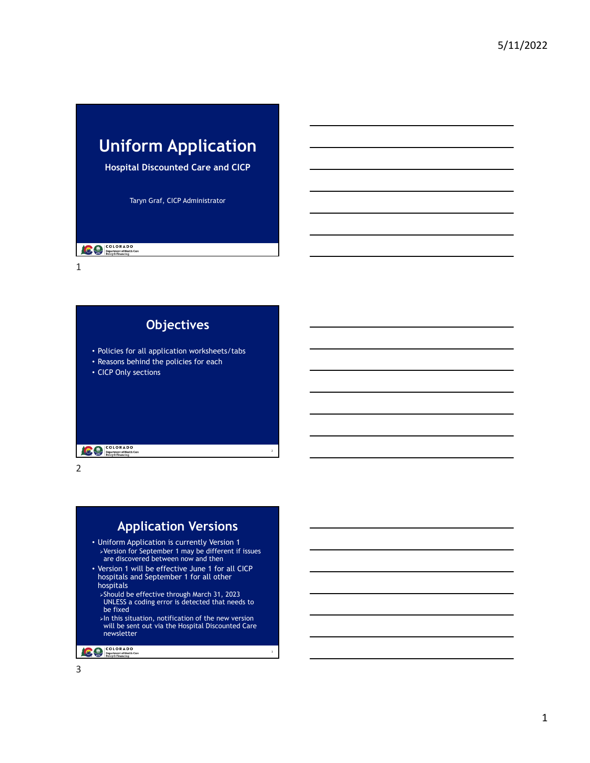# **Uniform Application**

 **Hospital Discounted Care and CICP** 

Taryn Graf, CICP Administrator

**COLORADO**<br> **Department of Health Care**<br> **Policy & Financing** 

1

| <b>Objectives</b>                                                                                                |
|------------------------------------------------------------------------------------------------------------------|
| • Policies for all application worksheets/tabs<br>• Reasons behind the policies for each<br>• CICP Only sections |
| <b>COLORADO</b><br><b>Department of Health Care</b><br><b>Policy &amp; Financing</b>                             |

2

## **Application Versions**

2

3

- Uniform Application is currently Version 1 Version for September 1 may be different if issues are discovered between now and then
- hospitals and September 1 for all other • Version 1 will be effective June 1 for all CICP hospitals
	- Should be effective through March 31, 2023 UNLESS a coding error is detected that needs to be fixed
	- $>$ In this situation, notification of the new version will be sent out via the Hospital Discounted Care newsletter

COLORADO<br>
Department of Health Care<br>
Policy & Financing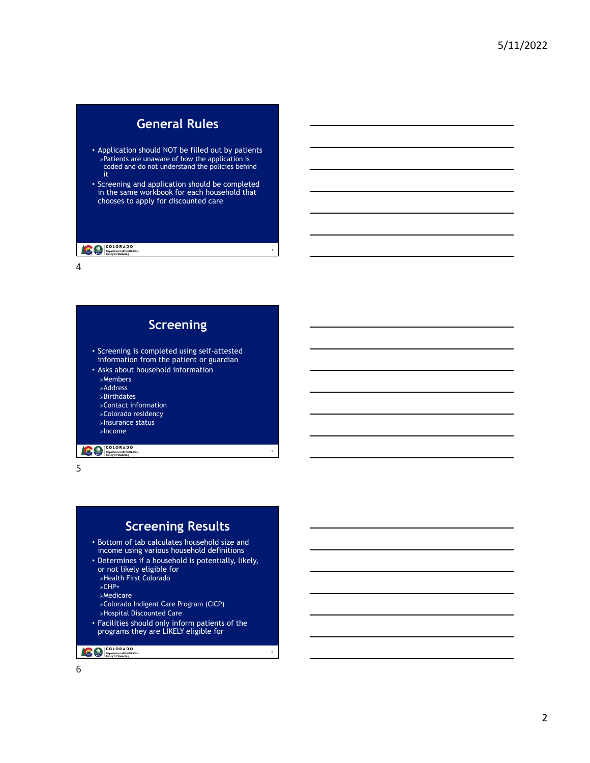### **General Rules**

- Application should NOT be filled out by patients Patients are unaware of how the application is coded and do not understand the policies behind it
- Screening and application should be completed in the same workbook for each household that chooses to apply for discounted care

4

6

#### **COLORADO**<br> **Department of Health Care**<br> **Policy & Financing**

4



5

## **Screening Results**

- • Bottom of tab calculates household size and income using various household definitions
- • Determines if a household is potentially, likely, or not likely eligible for
	- Health First Colorado
	- CHP+
	- **>Medicare**
	- Colorado Indigent Care Program (CICP)
	- Hospital Discounted Care
- Facilities should only inform patients of the programs they are LIKELY eligible for

COLORADO<br>
Pepartment of Health Care<br>
Policy & Financing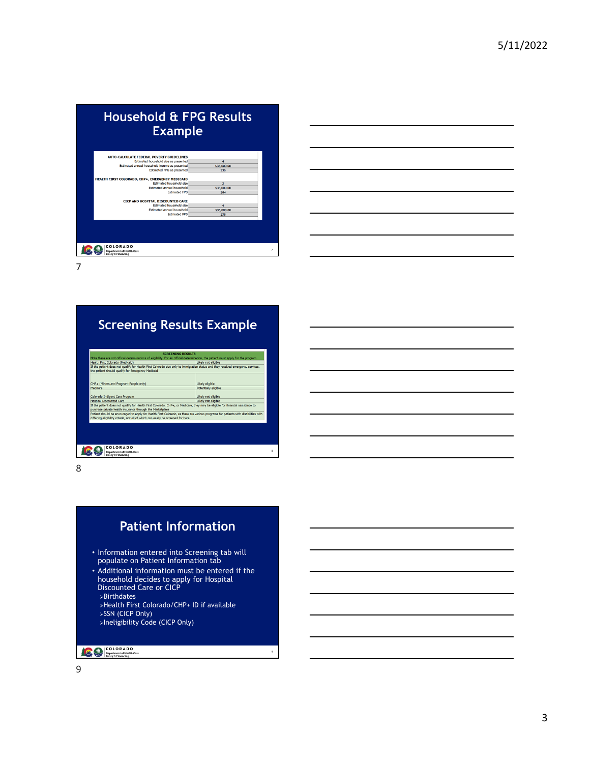| <b>Household &amp; FPG Results</b><br><b>Example</b>       |             |
|------------------------------------------------------------|-------------|
| <b>AUTO-CALCULATE FEDERAL POVERTY GUIDELINES</b>           |             |
| Estimated household size as presented                      | 4           |
| Estimated annual household income as presented             | \$36,000.00 |
| Estimated FPG as presented                                 | 136         |
| HEALTH FIRST COLORADO, CHP+, EMERGENCY MEDICAID            |             |
| Estimated household size                                   | 3           |
| Estimated annual household                                 | \$36,000.00 |
| <b>Estimated FPG</b>                                       | 164         |
| <b>CICP AND HOSPITAL DISCOUNTED CARE</b>                   |             |
| Estimated household size                                   | 4           |
| Estimated annual household                                 | \$36,000.00 |
| <b>Estimated FPG</b>                                       | 136         |
| COLORADO                                                   |             |
| Department of Health Care<br><b>Policy &amp; Financing</b> |             |



7

|                                                                                                                                                | <b>SCREENING RESULTS</b><br>Note these are not official determinations of eligibility. For an official determination, the patient must apply for the program.                                                                                                        |
|------------------------------------------------------------------------------------------------------------------------------------------------|----------------------------------------------------------------------------------------------------------------------------------------------------------------------------------------------------------------------------------------------------------------------|
| Health First Colorado (Medicaid)                                                                                                               | Likely not eligible                                                                                                                                                                                                                                                  |
| the patient should qualify for Emergency Medicaid                                                                                              |                                                                                                                                                                                                                                                                      |
| CHP+ (Minors and Pregnant People only)                                                                                                         | Likely eligible                                                                                                                                                                                                                                                      |
| Medicare                                                                                                                                       | Potentially eligible                                                                                                                                                                                                                                                 |
| Colorado Indigent Care Program                                                                                                                 | Likely not eligible                                                                                                                                                                                                                                                  |
| <b>Hospital Discounted Care</b>                                                                                                                | Likely not eligible                                                                                                                                                                                                                                                  |
| purchase private health insurance through the Marketplace<br>differing eligibility criteria, not all of which can easily be screened for here. | If the patient does not qualify for Health First Colorado, CHP+, or Medicare, they may be eligible for financial assistance to<br>Patient should be encouraged to apply for Health First Colorado, as there are various programs for patients with disabilities with |

8



9

COLORADO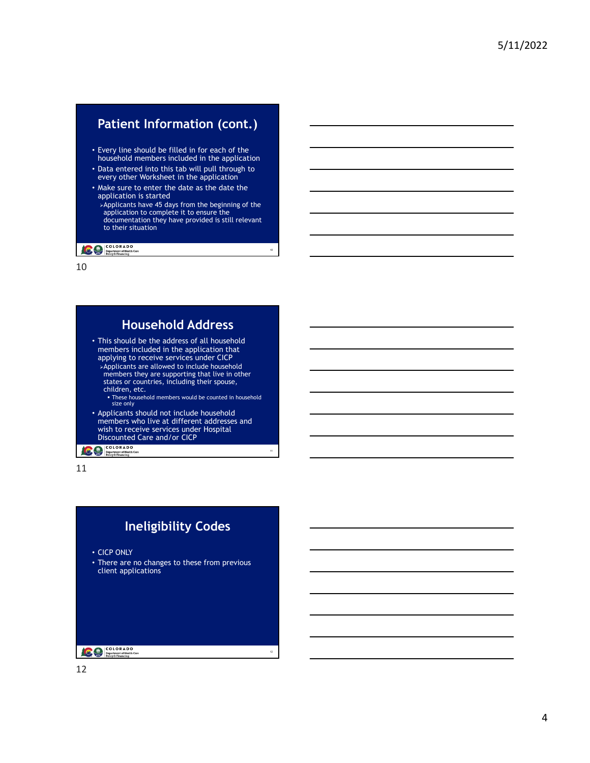## **Patient Information (cont.)**

- Every line should be filled in for each of the household members included in the application
- Data entered into this tab will pull through to every other Worksheet in the application
- Make sure to enter the date as the date the application is started
- Applicants have 45 days from the beginning of the application to complete it to ensure the documentation they have provided is still relevant to their situation

10

11

**COLORADO**<br> **Department of Health Care**<br> **Policy & Financing** 

10

## **Household Address**

- This should be the address of all household members included in the application that applying to receive services under CICP Applicants are allowed to include household members they are supporting that live in other states or countries, including their spouse,
- children, etc.
	- These household members would be counted in household size only
- Applicants should not include household members who live at different addresses and wish to receive services under Hospital Discounted Care and/or CICP

**COLORADO**<br>
Department of Health Care<br>
Policy & Financing



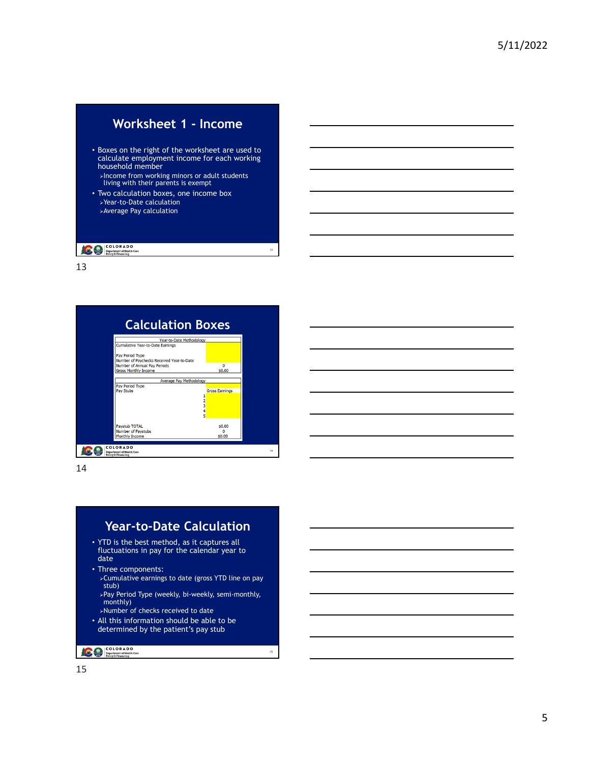## **Worksheet 1 - Income**

• Boxes on the right of the worksheet are used to calculate employment income for each working household member

Income from working minors or adult students living with their parents is exempt

13

15

• Two calculation boxes, one income box Year-to-Date calculation Average Pay calculation

#### **COLORADO**<br> **Department of Health Care**<br> **Policy & Financing**

13



14

#### **Year-to-Date Calculation**

- YTD is the best method, as it captures all fluctuations in pay for the calendar year to date
- Three components:
	- Cumulative earnings to date (gross YTD line on pay stub)
	- Pay Period Type (weekly, bi-weekly, semi-monthly, monthly)
	- Number of checks received to date
- All this information should be able to be determined by the patient's pay stub

COLORADO<br>
Pepartment of Health Care<br>
Policy & Financing

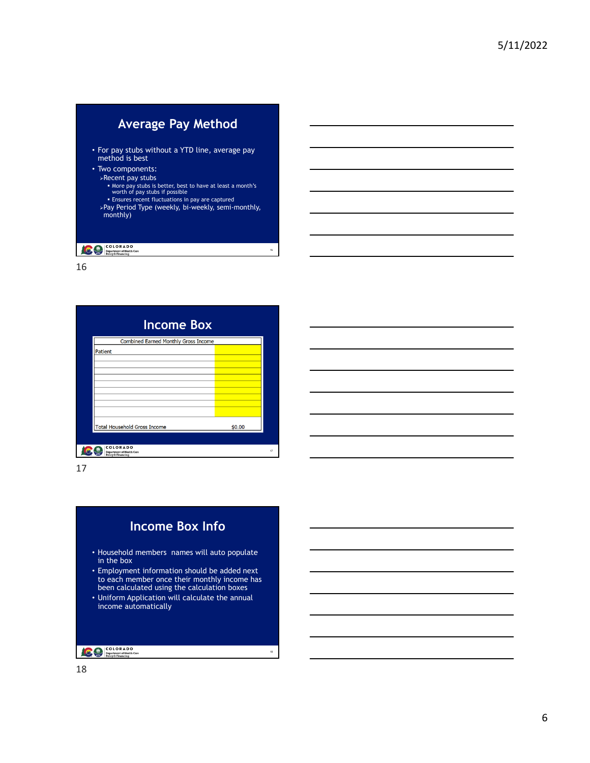| <b>Average Pay Method</b>                                                                                                                                                                                                                                           |    |
|---------------------------------------------------------------------------------------------------------------------------------------------------------------------------------------------------------------------------------------------------------------------|----|
| • For pay stubs without a YTD line, average pay<br>method is best                                                                                                                                                                                                   |    |
| • Two components:<br>≻Recent pay stubs<br>• More pay stubs is better, best to have at least a month's<br>worth of pay stubs if possible<br><b>Ensures recent fluctuations in pay are captured</b><br>≻Pay Period Type (weekly, bi-weekly, semi-monthly,<br>monthly) |    |
| COLORADO<br><b>Department of Health Care</b><br><b>Policy &amp; Financing</b>                                                                                                                                                                                       | 16 |

16

| <b>Income Box</b><br><b>Combined Earned Monthly Gross Income</b> |        |
|------------------------------------------------------------------|--------|
| Patient                                                          |        |
|                                                                  |        |
|                                                                  |        |
|                                                                  |        |
|                                                                  |        |
|                                                                  |        |
|                                                                  |        |
| <b>Total Household Gross Income</b>                              | \$0.00 |
|                                                                  |        |



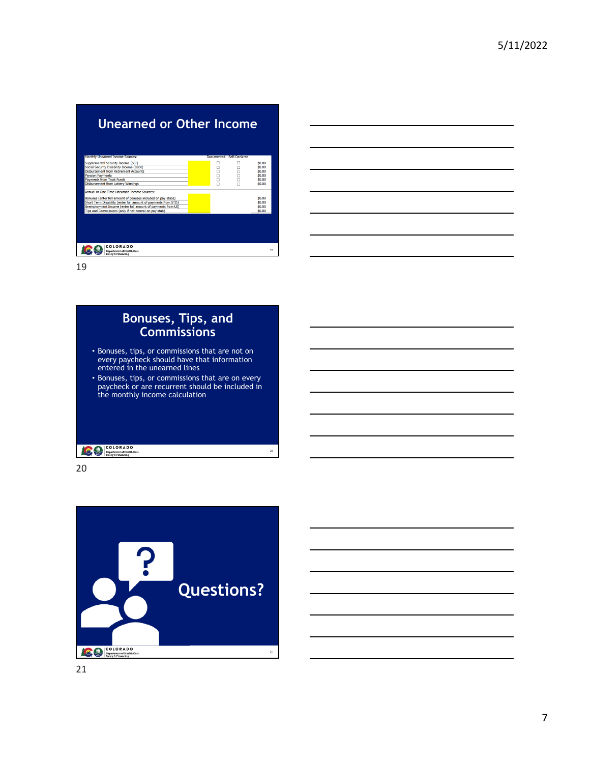| Unearned or Other Income                                                                                                                                                                                                            |                |               |                                                          |
|-------------------------------------------------------------------------------------------------------------------------------------------------------------------------------------------------------------------------------------|----------------|---------------|----------------------------------------------------------|
| Monthly Unearned Income Sources:                                                                                                                                                                                                    | Documented     | Self-Declared |                                                          |
| Supplemental Security Income (SSI)<br>Social Security Disability Income (SSDI)<br>Disbursement from Retirement Accounts<br><b>Pension Payments</b><br><b>Payments from Trust Funds</b><br><b>Disbursement from Lottery Winnings</b> | 50<br>00<br>00 | α<br>ō<br>п   | \$0.00<br>\$0.00<br>\$0.00<br>\$0.00<br>\$0.00<br>\$0.00 |
| Annual or One Time Unearned Income Sources:                                                                                                                                                                                         |                |               |                                                          |
| Bonuses (enter full amount of bonuses included on pay stubs)                                                                                                                                                                        |                |               | \$0.00                                                   |
| Short Term Disability (enter full amount of payments from STD)                                                                                                                                                                      |                |               | \$0.00                                                   |
| Unemployment Income (enter full amount of payments from UI)                                                                                                                                                                         |                |               | \$0.00                                                   |
| Tips and Commissions (only if not normal on pay stub)                                                                                                                                                                               |                |               | \$0.00                                                   |
|                                                                                                                                                                                                                                     |                |               |                                                          |
| COLORADO<br><b>Department of Health Care</b><br><b>Policy &amp; Financing</b>                                                                                                                                                       |                |               | 19                                                       |

19

## **Bonuses, Tips, and Commissions**  • Bonuses, tips, or commissions that are not on every paycheck should have that information entered in the unearned lines • Bonuses, tips, or commissions that are on every paycheck or are recurrent should be included in the monthly income calculation **COLORADO**<br> **Property of Health Care**<br>
Policy & Financing 20

20



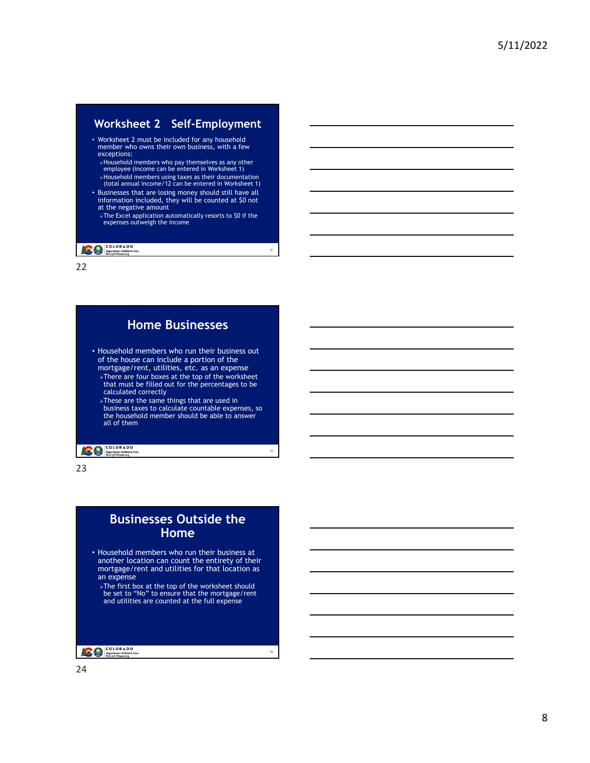#### **– Worksheet 2 Self-Employment**

- Worksheet 2 must be included for any household member who owns their own business, with a few exceptions:
	- Household members who pay themselves as any other employee (income can be entered in Worksheet 1)
	- Household members using taxes as their documentation (total annual income/12 can be entered in Worksheet 1)
- Businesses that are losing money should still have all information included, they will be counted at \$0 not at the negative amount
	- > The Excel application automatically resorts to \$0 if the expenses outweigh the income

22

24

#### **COLORADO**<br> **Department of Health Care**<br> **Policy & Financing**

22



23

#### **Businesses Outside the Home**

- Household members who run their business at another location can count the entirety of their mortgage/rent and utilities for that location as an expense
	- The first box at the top of the worksheet should be set to "No" to ensure that the mortgage/rent and utilities are counted at the full expense

COLORADO<br>
Department of Health Care<br>
Policy & Financing

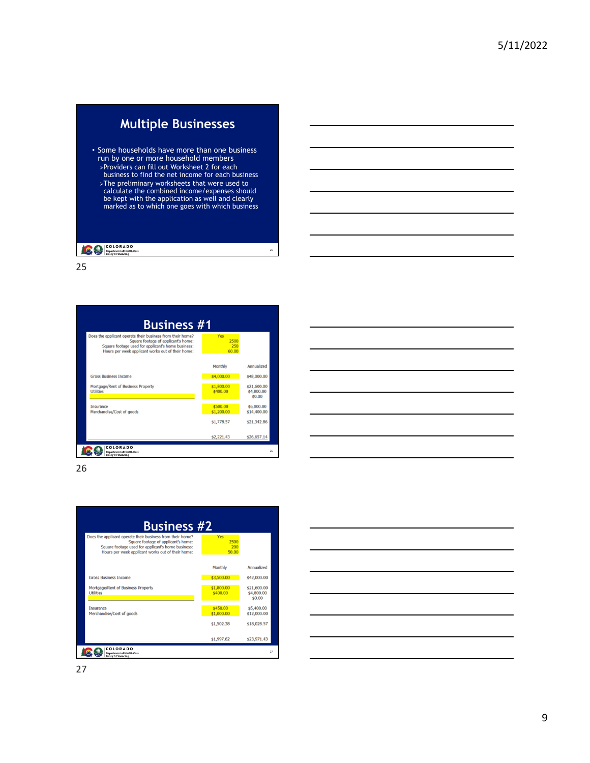## **Multiple Businesses**

- Some households have more than one business run by one or more household members Providers can fill out Worksheet 2 for each
	- business to find the net income for each business  $\triangleright$ The preliminary worksheets that were used to calculate the combined income/expenses should be kept with the application as well and clearly marked as to which one goes with which business

25

#### **COLORADO**<br> **Department of Health Care**<br>
Policy & Financing

25



26

| Does the applicant operate their business from their home?<br>Square footage of applicant's home:<br>Square footage used for applicant's home business:<br>Hours per week applicant works out of their home: | Yes<br>2500<br>200<br>50.00 |                                     |
|--------------------------------------------------------------------------------------------------------------------------------------------------------------------------------------------------------------|-----------------------------|-------------------------------------|
|                                                                                                                                                                                                              | <b>Monthly</b>              | <b>Annualized</b>                   |
| <b>Gross Business Income</b>                                                                                                                                                                                 | \$3,500.00                  | \$42,000.00                         |
| Mortgage/Rent of Business Property<br><b>Utilities</b>                                                                                                                                                       | \$1,800.00<br>\$400.00      | \$21,600.00<br>\$4,800.00<br>\$0.00 |
| <b>Insurance</b><br>Merchandise/Cost of goods                                                                                                                                                                | \$450.00<br>\$1,000.00      | \$5,400.00<br>\$12,000.00           |
|                                                                                                                                                                                                              | \$1,502.38                  | \$18,028.57                         |

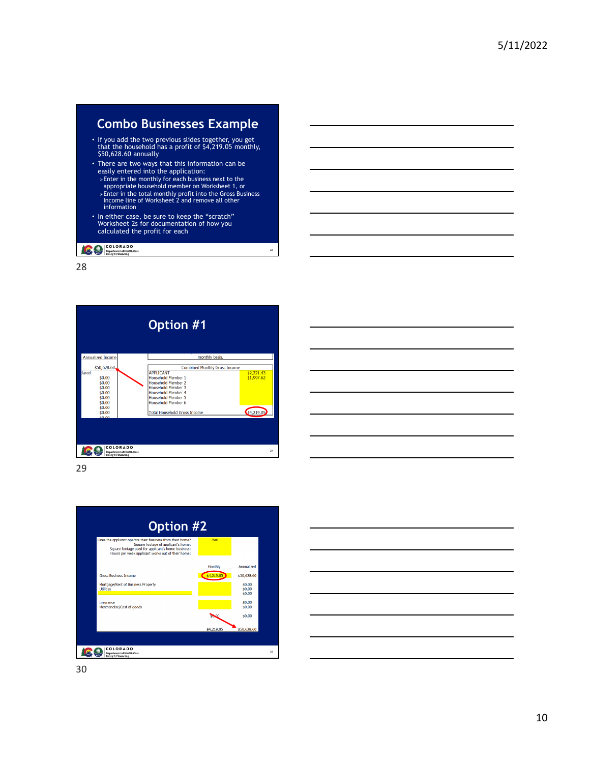## **Combo Businesses Example**

- If you add the two previous slides together, you get that the household has a profit of \$4,219.05 monthly, \$50,628.60 annually
- There are two ways that this information can be easily entered into the application:
- Enter in the monthly for each business next to the appropriate household member on Worksheet 1, or Enter in the total monthly profit into the Gross Business Income line of Worksheet 2 and remove all other information

28

• In either case, be sure to keep the "scratch" Worksheet 2s for documentation of how you calculated the profit for each

**COLORADO**<br> **Department of Health Care**<br> **Policy & Financing** 

28



29



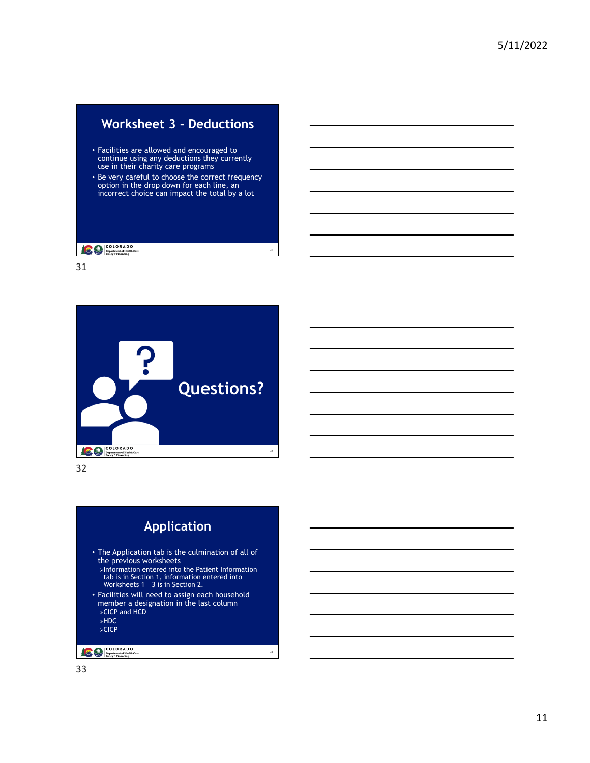# **Worksheet 3 - Deductions**

- Facilities are allowed and encouraged to continue using any deductions they currently use in their charity care programs
- Be very careful to choose the correct frequency option in the drop down for each line, an incorrect choice can impact the total by a lot

31

#### **COLORADO**<br> **Department of Health Care**<br>
Policy & Financing

31





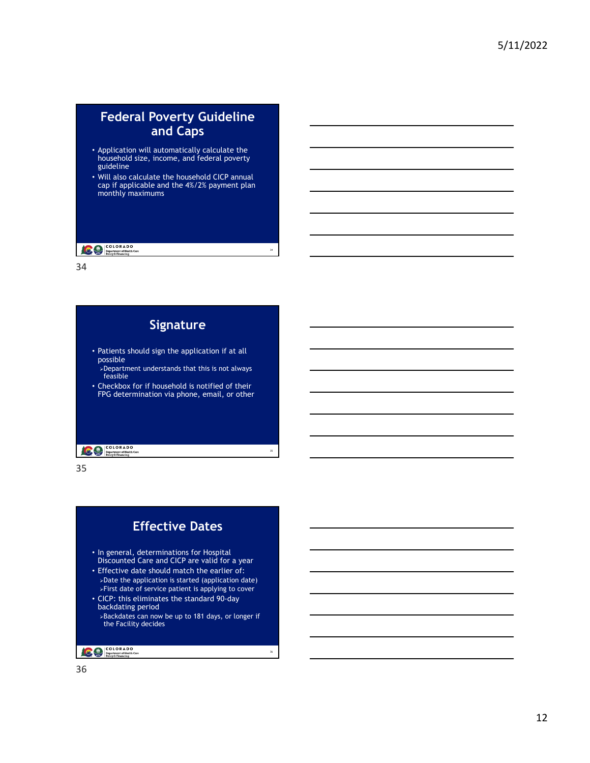#### **Federal Poverty Guideline and Caps**

- Application will automatically calculate the household size, income, and federal poverty guideline
- Will also calculate the household CICP annual cap if applicable and the 4%/2% payment plan monthly maximums

34

35

#### **COLORADO**<br> **Department of Health Care**<br>
Policy & Financing

34

| Signature                                                                                                                   |
|-----------------------------------------------------------------------------------------------------------------------------|
| • Patients should sign the application if at all<br>possible<br>⊁Department understands that this is not always<br>feasible |
| • Checkbox for if household is notified of their<br>FPG determination via phone, email, or other                            |
|                                                                                                                             |

35

COLORADO



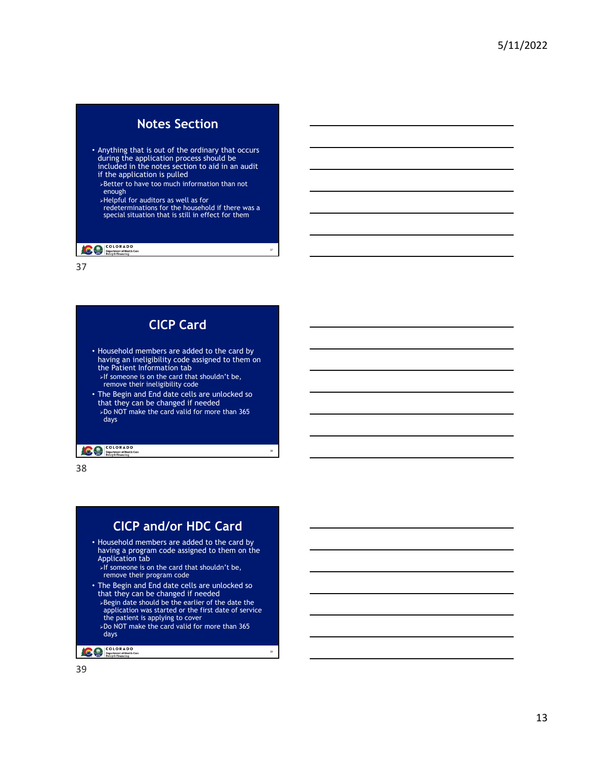#### **Notes Section**

- Anything that is out of the ordinary that occurs during the application process should be included in the notes section to aid in an audit
- if the application is pulled Better to have too much information than not enough
- Helpful for auditors as well as for
- redeterminations for the household if there was a special situation that is still in effect for them

37

38

39

**COLORADO**<br> **Department of Health Care**<br> **Policy & Financing** 

37

| <b>CICP Card</b>                                                                                                                                                                                                    |
|---------------------------------------------------------------------------------------------------------------------------------------------------------------------------------------------------------------------|
| • Household members are added to the card by<br>having an ineligibility code assigned to them on<br>the Patient Information tab<br>>If someone is on the card that shouldn't be,<br>remove their ineligibility code |
| • The Begin and End date cells are unlocked so<br>that they can be changed if needed<br>≽Do NOT make the card valid for more than 365<br>days                                                                       |

**COLORADO**<br> **Department of Health Care**<br> **Policy & Financing** 

38

## **CICP and/or HDC Card**

- Household members are added to the card by having a program code assigned to them on the Application tab
	- $\overrightarrow{F}$  if someone is on the card that shouldn't be, remove their program code
- • The Begin and End date cells are unlocked so that they can be changed if needed Begin date should be the earlier of the date the application was started or the first date of service the patient is applying to cover Do NOT make the card valid for more than 365 days

COLORADO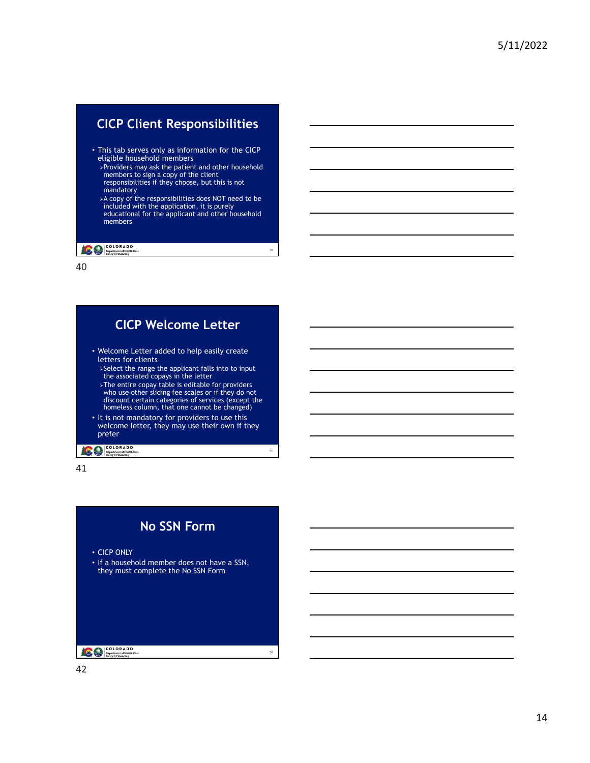# **CICP Client Responsibilities**

- This tab serves only as information for the CICP eligible household members
	- Providers may ask the patient and other household members to sign a copy of the client responsibilities if they choose, but this is not mandatory
	- A copy of the responsibilities does NOT need to be included with the application, it is purely educational for the applicant and other household members

40

41

#### **COLORADO**<br> **Department of Health Care**<br> **Policy & Financing**

40

## **CICP Welcome Letter**  • Welcome Letter added to help easily create letters for clients Select the range the applicant falls into to input the associated copays in the letter >The entire copay table is editable for providers<br>who use other sliding fee scales or if they do not<br>discount certain categories of services (except the<br>homeless column, that one cannot be changed) • It is not mandatory for providers to use this welcome letter, they may use their own if they prefer COLORADO